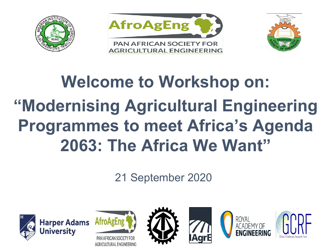





## **Welcome to Workshop on: "Modernising Agricultural Engineering Programmes to meet Africa's Agenda 2063: The Africa We Want"**

21 September 2020









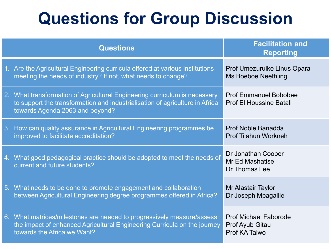## **Questions for Group Discussion**

| <b>Questions</b>                                                                                                                                                                              | <b>Facilitation and</b><br><b>Reporting</b>                             |
|-----------------------------------------------------------------------------------------------------------------------------------------------------------------------------------------------|-------------------------------------------------------------------------|
| 1. Are the Agricultural Engineering curricula offered at various institutions<br>meeting the needs of industry? If not, what needs to change?                                                 | Prof Umezuruike Linus Opara<br><b>Ms Boeboe Neethling</b>               |
| 2. What transformation of Agricultural Engineering curriculum is necessary<br>to support the transformation and industrialisation of agriculture in Africa<br>towards Agenda 2063 and beyond? | <b>Prof Emmanuel Bobobee</b><br><b>Prof El Houssine Batali</b>          |
| 3. How can quality assurance in Agricultural Engineering programmes be<br>improved to facilitate accreditation?                                                                               | Prof Noble Banadda<br><b>Prof Tilahun Workneh</b>                       |
| 4. What good pedagogical practice should be adopted to meet the needs of<br>current and future students?                                                                                      | Dr Jonathan Cooper<br>Mr Ed Mashatise<br>Dr Thomas Lee                  |
| 5. What needs to be done to promote engagement and collaboration<br>between Agricultural Engineering degree programmes offered in Africa?                                                     | Mr Alastair Taylor<br>Dr Joseph Mpagalile                               |
| 6. What matrices/milestones are needed to progressively measure/assess<br>the impact of enhanced Agricultural Engineering Curricula on the journey<br>towards the Africa we Want?             | <b>Prof Michael Faborode</b><br><b>Prof Ayub Gitau</b><br>Prof KA Taiwo |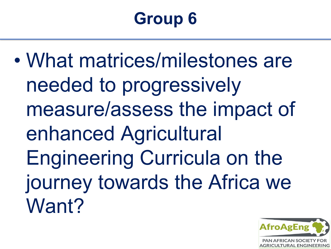# **Group 6**

• What matrices/milestones are needed to progressively measure/assess the impact of enhanced Agricultural Engineering Curricula on the journey towards the Africa we Want?

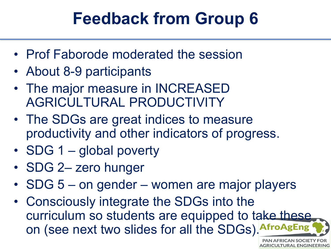## **Feedback from Group 6**

- Prof Faborode moderated the session
- About 8-9 participants
- The major measure in INCREASED AGRICULTURAL PRODUCTIVITY
- The SDGs are great indices to measure productivity and other indicators of progress.
- SDG 1 global poverty
- SDG 2- zero hunger
- SDG 5 on gender women are major players
- Consciously integrate the SDGs into the curriculum so students are equipped to take these on (see next two slides for all the SDGs). Afr

**PAN AFRICAN SOCIETY AGRICULTURAL ENGINEERING**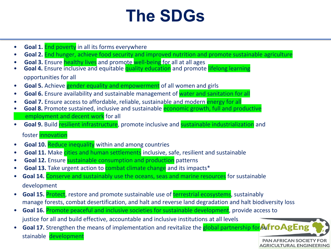#### **The SDGs**

- **Goal 1.** End poverty in all its forms everywhere
- **Goal 2.** End hunger, achieve food security and improved nutrition and promote sustainable agriculture
- 
- **Goal 3.** Ensure healthy lives and promote well-being for all at all ages **Goal 4.** Ensure inclusive and equitable quality education and promote lifelong learning opportunities for all
- **Goal 5.** Achieve gender equality and empowerment of all women and girls
- **Goal 6.** Ensure availability and sustainable management of water and sanitation for all
- Goal 7. Ensure access to affordable, reliable, sustainable and modern energy for all
- **Goal 8.** Promote sustained, inclusive and sustainable **economic growth, full and productive** employment and decent work for all
- **Goal 9.** Build resilient infrastructure, promote inclusive and sustainable industrialization and

#### foster innovation

- **Goal 10.** Reduce inequality within and among countries
- **Goal 11.** Make cities and human settlements inclusive, safe, resilient and sustainable
- **Goal 12.** Ensure **sustainable consumption and production** patterns
- **Goal 13.** Take urgent action to **combat climate change** and its impacts<sup>\*</sup>
- **Goal 14.** Conserve and sustainably use the oceans, seas and marine resources for sustainable development
- **Goal 15.** Protect, restore and promote sustainable use of terrestrial ecosystems, sustainably manage forests, combat desertification, and halt and reverse land degradation and halt biodiversity loss
- **Goal 16.** Promote peaceful and inclusive societies for sustainable development, provide access to justice for all and build effective, accountable and inclusive institutions at all levels
- **Goal 17.** Strengthen the means of implementation and revitalize the **global partnership for SufroAgEng** stainable development**PAN AFRICAN SOCIETY FOR**

**AGRICULTURAL ENGINEERING**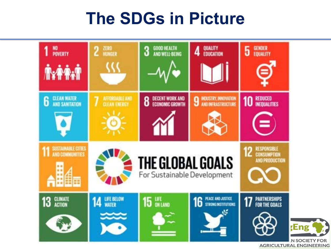#### **The SDGs in Picture**

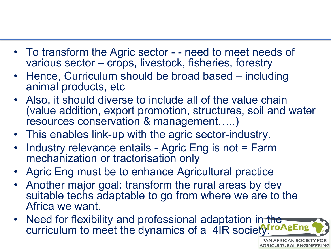- To transform the Agric sector - need to meet needs of various sector – crops, livestock, fisheries, forestry
- Hence, Curriculum should be broad based including animal products, etc
- Also, it should diverse to include all of the value chain (value addition, export promotion, structures, soil and water resources conservation & management…..)
- This enables link-up with the agric sector-industry.
- Industry relevance entails Agric Eng is not = Farm mechanization or tractorisation only
- Agric Eng must be to enhance Agricultural practice
- Another major goal: transform the rural areas by dev suitable techs adaptable to go from where we are to the Africa we want.
- Need for flexibility and professional adaptation in the curriculum to meet the dynamics of a  $4IR$  society fro AgEng

**PAN AFRICAN SOCIETY FOR AGRICULTURAL ENGINEERING**